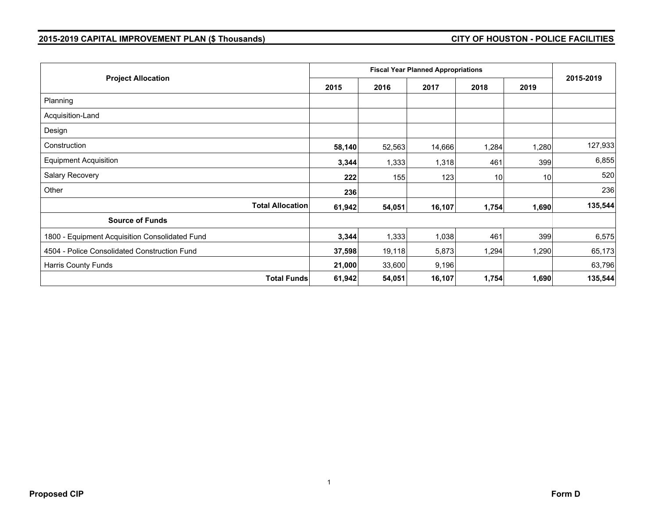## **2015-2019 CAPITAL IMPROVEMENT PLAN (\$ Thousands) CITY OF HOUSTON - POLICE FACILITIES**

| <b>Project Allocation</b>                      | 2015   | 2016   | 2017   | 2018  | 2019  | 2015-2019 |
|------------------------------------------------|--------|--------|--------|-------|-------|-----------|
| Planning                                       |        |        |        |       |       |           |
| Acquisition-Land                               |        |        |        |       |       |           |
| Design                                         |        |        |        |       |       |           |
| Construction                                   | 58,140 | 52,563 | 14,666 | 1,284 | 1,280 | 127,933   |
| <b>Equipment Acquisition</b>                   | 3,344  | 1,333  | 1,318  | 461   | 399   | 6,855     |
| Salary Recovery                                | 222    | 155    | 123    | 10    | 10    | 520       |
| Other                                          | 236    |        |        |       |       | 236       |
| <b>Total Allocation</b>                        | 61,942 | 54,051 | 16,107 | 1,754 | 1,690 | 135,544   |
| <b>Source of Funds</b>                         |        |        |        |       |       |           |
| 1800 - Equipment Acquisition Consolidated Fund | 3,344  | 1,333  | 1,038  | 461   | 399   | 6,575     |
| 4504 - Police Consolidated Construction Fund   | 37,598 | 19,118 | 5,873  | 1,294 | 1,290 | 65,173    |
| Harris County Funds                            | 21,000 | 33,600 | 9,196  |       |       | 63,796    |
| <b>Total Funds</b>                             | 61,942 | 54,051 | 16,107 | 1,754 | 1,690 | 135,544   |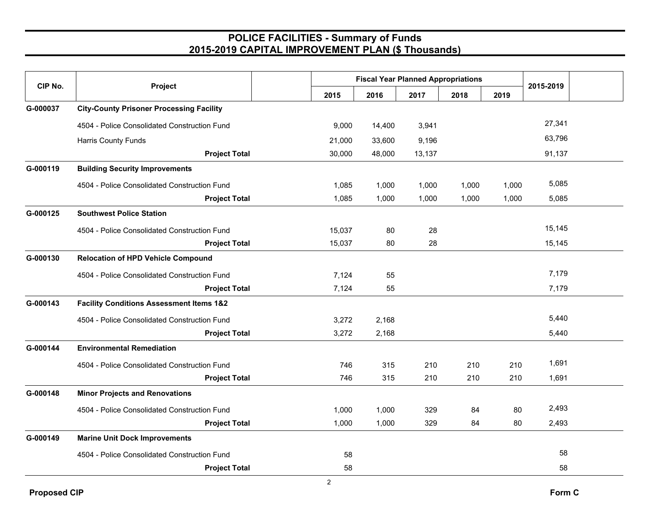## **POLICE FACILITIES - Summary of Funds 2015-2019 CAPITAL IMPROVEMENT PLAN (\$ Thousands)**

| CIP No.  | Project                                             | <b>Fiscal Year Planned Appropriations</b> |        |        |       |       |           |  |
|----------|-----------------------------------------------------|-------------------------------------------|--------|--------|-------|-------|-----------|--|
|          |                                                     | 2015                                      | 2016   | 2017   | 2018  | 2019  | 2015-2019 |  |
| G-000037 | <b>City-County Prisoner Processing Facility</b>     |                                           |        |        |       |       |           |  |
|          | 4504 - Police Consolidated Construction Fund        | 9,000                                     | 14,400 | 3,941  |       |       | 27,341    |  |
|          | Harris County Funds                                 | 21,000                                    | 33,600 | 9,196  |       |       | 63,796    |  |
|          | <b>Project Total</b>                                | 30,000                                    | 48,000 | 13,137 |       |       | 91,137    |  |
| G-000119 | <b>Building Security Improvements</b>               |                                           |        |        |       |       |           |  |
|          | 4504 - Police Consolidated Construction Fund        | 1,085                                     | 1,000  | 1,000  | 1,000 | 1,000 | 5,085     |  |
|          | <b>Project Total</b>                                | 1,085                                     | 1,000  | 1,000  | 1,000 | 1,000 | 5,085     |  |
| G-000125 | <b>Southwest Police Station</b>                     |                                           |        |        |       |       |           |  |
|          | 4504 - Police Consolidated Construction Fund        | 15,037                                    | 80     | 28     |       |       | 15,145    |  |
|          | <b>Project Total</b>                                | 15,037                                    | 80     | 28     |       |       | 15,145    |  |
| G-000130 | <b>Relocation of HPD Vehicle Compound</b>           |                                           |        |        |       |       |           |  |
|          | 4504 - Police Consolidated Construction Fund        | 7,124                                     | 55     |        |       |       | 7,179     |  |
|          | <b>Project Total</b>                                | 7,124                                     | 55     |        |       |       | 7,179     |  |
| G-000143 | <b>Facility Conditions Assessment Items 1&amp;2</b> |                                           |        |        |       |       |           |  |
|          | 4504 - Police Consolidated Construction Fund        | 3,272                                     | 2,168  |        |       |       | 5,440     |  |
|          | <b>Project Total</b>                                | 3,272                                     | 2,168  |        |       |       | 5,440     |  |
| G-000144 | <b>Environmental Remediation</b>                    |                                           |        |        |       |       |           |  |
|          | 4504 - Police Consolidated Construction Fund        | 746                                       | 315    | 210    | 210   | 210   | 1,691     |  |
|          | <b>Project Total</b>                                | 746                                       | 315    | 210    | 210   | 210   | 1,691     |  |
| G-000148 | <b>Minor Projects and Renovations</b>               |                                           |        |        |       |       |           |  |
|          | 4504 - Police Consolidated Construction Fund        | 1,000                                     | 1,000  | 329    | 84    | 80    | 2,493     |  |
|          | <b>Project Total</b>                                | 1,000                                     | 1,000  | 329    | 84    | 80    | 2,493     |  |
| G-000149 | <b>Marine Unit Dock Improvements</b>                |                                           |        |        |       |       |           |  |
|          | 4504 - Police Consolidated Construction Fund        | 58                                        |        |        |       |       | 58        |  |
|          | <b>Project Total</b>                                | 58                                        |        |        |       |       | 58        |  |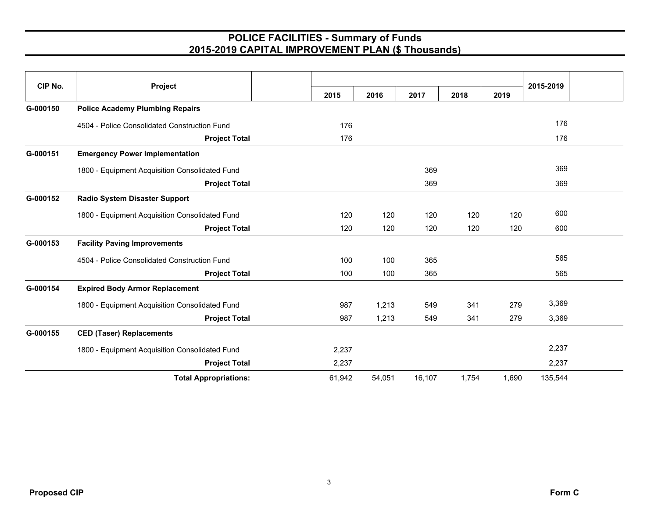## **POLICE FACILITIES - Summary of Funds 2015-2019 CAPITAL IMPROVEMENT PLAN (\$ Thousands)**

| CIP No.  | Project                                        |        |        |        |       |       |         | 2015-2019 |  |
|----------|------------------------------------------------|--------|--------|--------|-------|-------|---------|-----------|--|
|          |                                                | 2015   | 2016   | 2017   | 2018  | 2019  |         |           |  |
| G-000150 | <b>Police Academy Plumbing Repairs</b>         |        |        |        |       |       |         |           |  |
|          | 4504 - Police Consolidated Construction Fund   | 176    |        |        |       |       | 176     |           |  |
|          | <b>Project Total</b>                           | 176    |        |        |       |       | 176     |           |  |
| G-000151 | <b>Emergency Power Implementation</b>          |        |        |        |       |       |         |           |  |
|          | 1800 - Equipment Acquisition Consolidated Fund |        |        | 369    |       |       | 369     |           |  |
|          | <b>Project Total</b>                           |        |        | 369    |       |       | 369     |           |  |
| G-000152 | <b>Radio System Disaster Support</b>           |        |        |        |       |       |         |           |  |
|          | 1800 - Equipment Acquisition Consolidated Fund | 120    | 120    | 120    | 120   | 120   | 600     |           |  |
|          | <b>Project Total</b>                           | 120    | 120    | 120    | 120   | 120   | 600     |           |  |
| G-000153 | <b>Facility Paving Improvements</b>            |        |        |        |       |       |         |           |  |
|          | 4504 - Police Consolidated Construction Fund   | 100    | 100    | 365    |       |       | 565     |           |  |
|          | <b>Project Total</b>                           | 100    | 100    | 365    |       |       | 565     |           |  |
| G-000154 | <b>Expired Body Armor Replacement</b>          |        |        |        |       |       |         |           |  |
|          | 1800 - Equipment Acquisition Consolidated Fund | 987    | 1,213  | 549    | 341   | 279   | 3,369   |           |  |
|          | <b>Project Total</b>                           | 987    | 1,213  | 549    | 341   | 279   | 3,369   |           |  |
| G-000155 | <b>CED (Taser) Replacements</b>                |        |        |        |       |       |         |           |  |
|          | 1800 - Equipment Acquisition Consolidated Fund | 2,237  |        |        |       |       | 2,237   |           |  |
|          | <b>Project Total</b>                           | 2,237  |        |        |       |       | 2,237   |           |  |
|          | <b>Total Appropriations:</b>                   | 61,942 | 54,051 | 16,107 | 1,754 | 1,690 | 135,544 |           |  |